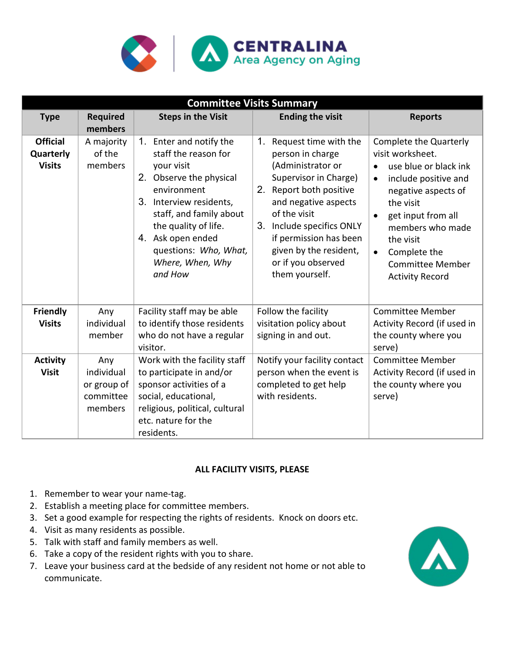

| <b>Committee Visits Summary</b>               |                                                          |                                                                                                                                                                                                                                                                    |                                                                                                                                                                                                                                                                                                      |                                                                                                                                                                                                                                                                          |
|-----------------------------------------------|----------------------------------------------------------|--------------------------------------------------------------------------------------------------------------------------------------------------------------------------------------------------------------------------------------------------------------------|------------------------------------------------------------------------------------------------------------------------------------------------------------------------------------------------------------------------------------------------------------------------------------------------------|--------------------------------------------------------------------------------------------------------------------------------------------------------------------------------------------------------------------------------------------------------------------------|
| <b>Type</b>                                   | <b>Required</b><br>members                               | <b>Steps in the Visit</b>                                                                                                                                                                                                                                          | <b>Ending the visit</b>                                                                                                                                                                                                                                                                              | <b>Reports</b>                                                                                                                                                                                                                                                           |
| <b>Official</b><br>Quarterly<br><b>Visits</b> | A majority<br>of the<br>members                          | 1. Enter and notify the<br>staff the reason for<br>your visit<br>2. Observe the physical<br>environment<br>3. Interview residents,<br>staff, and family about<br>the quality of life.<br>4. Ask open ended<br>questions: Who, What,<br>Where, When, Why<br>and How | $1_{-}$<br>Request time with the<br>person in charge<br>(Administrator or<br>Supervisor in Charge)<br>2.<br>Report both positive<br>and negative aspects<br>of the visit<br>3.<br>Include specifics ONLY<br>if permission has been<br>given by the resident,<br>or if you observed<br>them yourself. | Complete the Quarterly<br>visit worksheet.<br>use blue or black ink<br>include positive and<br>$\bullet$<br>negative aspects of<br>the visit<br>get input from all<br>members who made<br>the visit<br>Complete the<br><b>Committee Member</b><br><b>Activity Record</b> |
| <b>Friendly</b><br><b>Visits</b>              | Any<br>individual<br>member                              | Facility staff may be able<br>to identify those residents<br>who do not have a regular<br>visitor.                                                                                                                                                                 | Follow the facility<br>visitation policy about<br>signing in and out.                                                                                                                                                                                                                                | <b>Committee Member</b><br>Activity Record (if used in<br>the county where you<br>serve)                                                                                                                                                                                 |
| <b>Activity</b><br><b>Visit</b>               | Any<br>individual<br>or group of<br>committee<br>members | Work with the facility staff<br>to participate in and/or<br>sponsor activities of a<br>social, educational,<br>religious, political, cultural<br>etc. nature for the<br>residents.                                                                                 | Notify your facility contact<br>person when the event is<br>completed to get help<br>with residents.                                                                                                                                                                                                 | <b>Committee Member</b><br>Activity Record (if used in<br>the county where you<br>serve)                                                                                                                                                                                 |

#### **ALL FACILITY VISITS, PLEASE**

- 1. Remember to wear your name-tag.
- 2. Establish a meeting place for committee members.
- 3. Set a good example for respecting the rights of residents. Knock on doors etc.
- 4. Visit as many residents as possible.
- 5. Talk with staff and family members as well.
- 6. Take a copy of the resident rights with you to share.
- 7. Leave your business card at the bedside of any resident not home or not able to communicate.